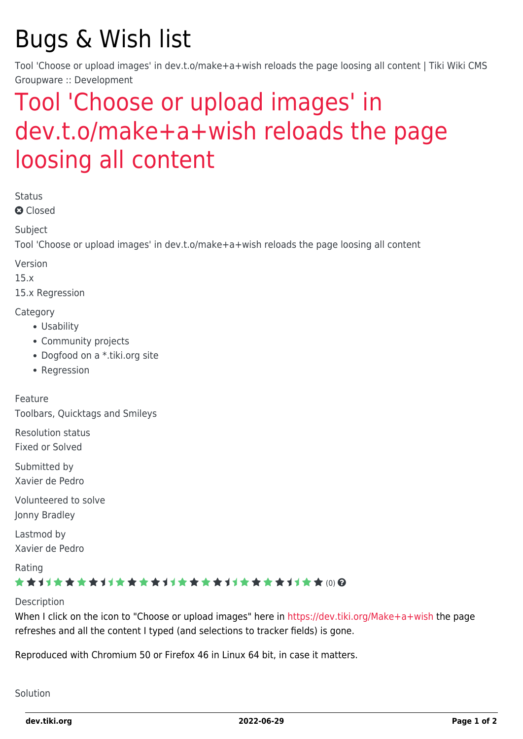# Bugs & Wish list

Tool 'Choose or upload images' in dev.t.o/make+a+wish reloads the page loosing all content | Tiki Wiki CMS Groupware :: Development

## [Tool 'Choose or upload images' in](https://dev.tiki.org/item6017-Tool-Choose-or-upload-images-in-dev-t-o-make-a-wish-reloads-the-page-loosing-all-content) [dev.t.o/make+a+wish reloads the page](https://dev.tiki.org/item6017-Tool-Choose-or-upload-images-in-dev-t-o-make-a-wish-reloads-the-page-loosing-all-content) [loosing all content](https://dev.tiki.org/item6017-Tool-Choose-or-upload-images-in-dev-t-o-make-a-wish-reloads-the-page-loosing-all-content)

Status

**Q** Closed

**Subject** 

Tool 'Choose or upload images' in dev.t.o/make+a+wish reloads the page loosing all content

Version

15.x

15.x Regression

#### **Category**

- Usability
- Community projects
- Dogfood on a \*.tiki.org site
- Regression

Feature

Toolbars, Quicktags and Smileys

Resolution status

Fixed or Solved

Submitted by Xavier de Pedro

Volunteered to solve Jonny Bradley

Lastmod by Xavier de Pedro

Rating

### ★★11★★★★11★★★★11★★★★11★★★★+11★★ (0) @

Description

When I click on the icon to "Choose or upload images" here in<https://dev.tiki.org/Make+a+wish>the page refreshes and all the content I typed (and selections to tracker fields) is gone.

Reproduced with Chromium 50 or Firefox 46 in Linux 64 bit, in case it matters.

Solution